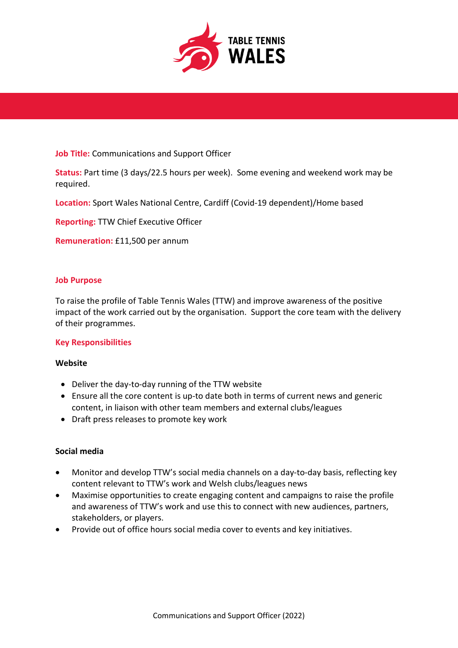

## **Job Title:** Communications and Support Officer

**Status:** Part time (3 days/22.5 hours per week). Some evening and weekend work may be required.

**Location:** Sport Wales National Centre, Cardiff (Covid-19 dependent)/Home based

**Reporting:** TTW Chief Executive Officer

**Remuneration:** £11,500 per annum

# **Job Purpose**

To raise the profile of Table Tennis Wales (TTW) and improve awareness of the positive impact of the work carried out by the organisation. Support the core team with the delivery of their programmes.

### **Key Responsibilities**

### **Website**

- Deliver the day-to-day running of the TTW website
- Ensure all the core content is up-to date both in terms of current news and generic content, in liaison with other team members and external clubs/leagues
- Draft press releases to promote key work

## **Social media**

- Monitor and develop TTW's social media channels on a day-to-day basis, reflecting key content relevant to TTW's work and Welsh clubs/leagues news
- Maximise opportunities to create engaging content and campaigns to raise the profile and awareness of TTW's work and use this to connect with new audiences, partners, stakeholders, or players.
- Provide out of office hours social media cover to events and key initiatives.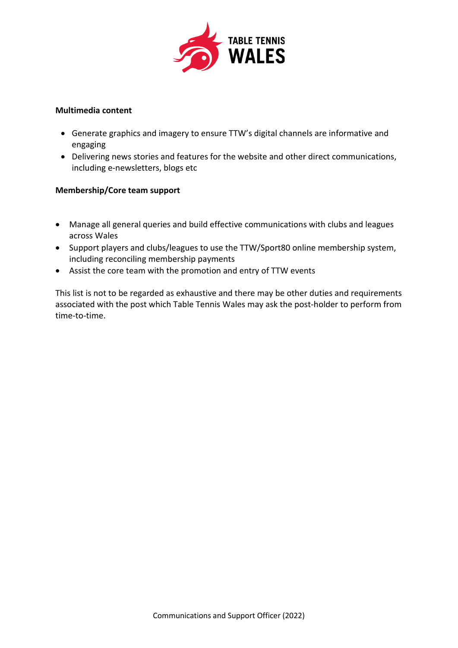

### **Multimedia content**

- Generate graphics and imagery to ensure TTW's digital channels are informative and engaging
- Delivering news stories and features for the website and other direct communications, including e-newsletters, blogs etc

# **Membership/Core team support**

- Manage all general queries and build effective communications with clubs and leagues across Wales
- Support players and clubs/leagues to use the TTW/Sport80 online membership system, including reconciling membership payments
- Assist the core team with the promotion and entry of TTW events

This list is not to be regarded as exhaustive and there may be other duties and requirements associated with the post which Table Tennis Wales may ask the post-holder to perform from time-to-time.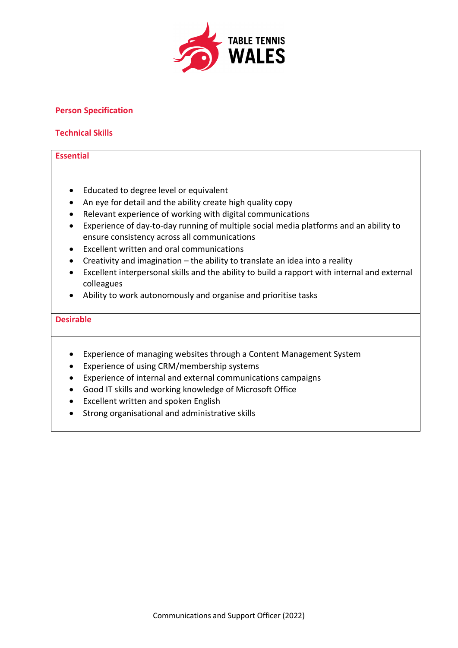

# **Person Specification**

## **Technical Skills**

## **Essential**

- Educated to degree level or equivalent
- An eye for detail and the ability create high quality copy
- Relevant experience of working with digital communications
- Experience of day-to-day running of multiple social media platforms and an ability to ensure consistency across all communications
- Excellent written and oral communications
- Creativity and imagination the ability to translate an idea into a reality
- Excellent interpersonal skills and the ability to build a rapport with internal and external colleagues
- Ability to work autonomously and organise and prioritise tasks

#### **Desirable**

- Experience of managing websites through a Content Management System
- Experience of using CRM/membership systems
- Experience of internal and external communications campaigns
- Good IT skills and working knowledge of Microsoft Office
- Excellent written and spoken English
- Strong organisational and administrative skills